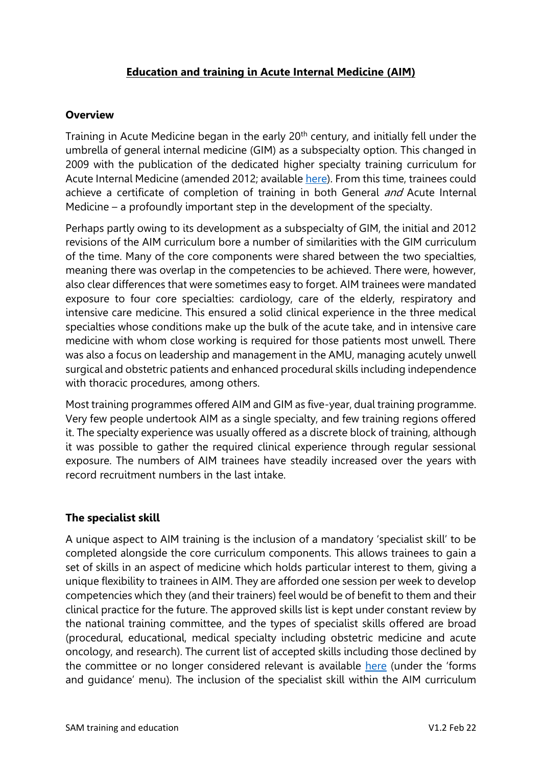# **Education and training in Acute Internal Medicine (AIM)**

### **Overview**

Training in Acute Medicine began in the early 20<sup>th</sup> century, and initially fell under the umbrella of general internal medicine (GIM) as a subspecialty option. This changed in 2009 with the publication of the dedicated higher specialty training curriculum for Acute Internal Medicine (amended 2012; available [here\)](about:blank). From this time, trainees could achieve a certificate of completion of training in both General *and* Acute Internal Medicine – a profoundly important step in the development of the specialty.

Perhaps partly owing to its development as a subspecialty of GIM, the initial and 2012 revisions of the AIM curriculum bore a number of similarities with the GIM curriculum of the time. Many of the core components were shared between the two specialties, meaning there was overlap in the competencies to be achieved. There were, however, also clear differences that were sometimes easy to forget. AIM trainees were mandated exposure to four core specialties: cardiology, care of the elderly, respiratory and intensive care medicine. This ensured a solid clinical experience in the three medical specialties whose conditions make up the bulk of the acute take, and in intensive care medicine with whom close working is required for those patients most unwell. There was also a focus on leadership and management in the AMU, managing acutely unwell surgical and obstetric patients and enhanced procedural skills including independence with thoracic procedures, among others.

Most training programmes offered AIM and GIM as five-year, dual training programme. Very few people undertook AIM as a single specialty, and few training regions offered it. The specialty experience was usually offered as a discrete block of training, although it was possible to gather the required clinical experience through regular sessional exposure. The numbers of AIM trainees have steadily increased over the years with record recruitment numbers in the last intake.

## **The specialist skill**

A unique aspect to AIM training is the inclusion of a mandatory 'specialist skill' to be completed alongside the core curriculum components. This allows trainees to gain a set of skills in an aspect of medicine which holds particular interest to them, giving a unique flexibility to trainees in AIM. They are afforded one session per week to develop competencies which they (and their trainers) feel would be of benefit to them and their clinical practice for the future. The approved skills list is kept under constant review by the national training committee, and the types of specialist skills offered are broad (procedural, educational, medical specialty including obstetric medicine and acute oncology, and research). The current list of accepted skills including those declined by the committee or no longer considered relevant is available [here](about:blank) (under the 'forms and guidance' menu). The inclusion of the specialist skill within the AIM curriculum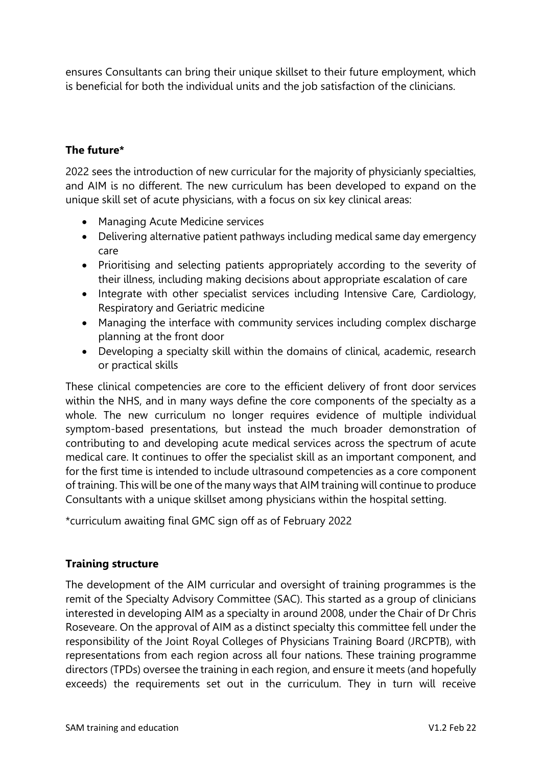ensures Consultants can bring their unique skillset to their future employment, which is beneficial for both the individual units and the job satisfaction of the clinicians.

# **The future\***

2022 sees the introduction of new curricular for the majority of physicianly specialties, and AIM is no different. The new curriculum has been developed to expand on the unique skill set of acute physicians, with a focus on six key clinical areas:

- Managing Acute Medicine services
- Delivering alternative patient pathways including medical same day emergency care
- Prioritising and selecting patients appropriately according to the severity of their illness, including making decisions about appropriate escalation of care
- Integrate with other specialist services including Intensive Care, Cardiology, Respiratory and Geriatric medicine
- Managing the interface with community services including complex discharge planning at the front door
- Developing a specialty skill within the domains of clinical, academic, research or practical skills

These clinical competencies are core to the efficient delivery of front door services within the NHS, and in many ways define the core components of the specialty as a whole. The new curriculum no longer requires evidence of multiple individual symptom-based presentations, but instead the much broader demonstration of contributing to and developing acute medical services across the spectrum of acute medical care. It continues to offer the specialist skill as an important component, and for the first time is intended to include ultrasound competencies as a core component of training. This will be one of the many ways that AIM training will continue to produce Consultants with a unique skillset among physicians within the hospital setting.

\*curriculum awaiting final GMC sign off as of February 2022

## **Training structure**

The development of the AIM curricular and oversight of training programmes is the remit of the Specialty Advisory Committee (SAC). This started as a group of clinicians interested in developing AIM as a specialty in around 2008, under the Chair of Dr Chris Roseveare. On the approval of AIM as a distinct specialty this committee fell under the responsibility of the Joint Royal Colleges of Physicians Training Board (JRCPTB), with representations from each region across all four nations. These training programme directors (TPDs) oversee the training in each region, and ensure it meets (and hopefully exceeds) the requirements set out in the curriculum. They in turn will receive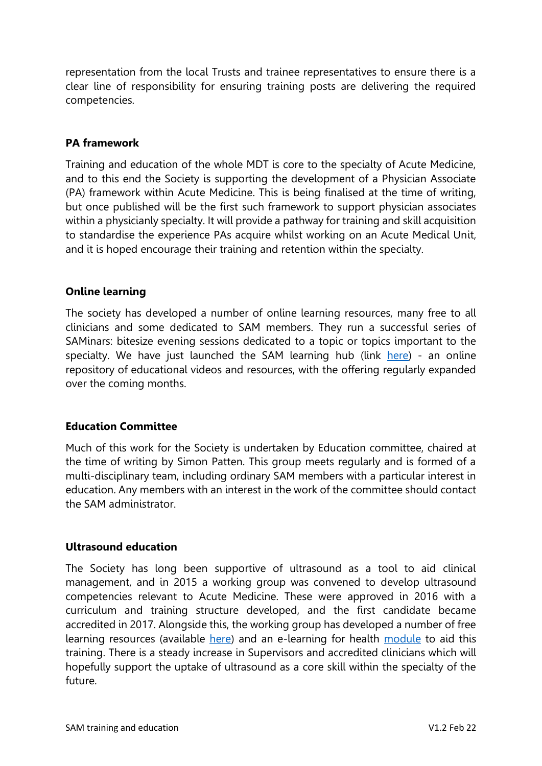representation from the local Trusts and trainee representatives to ensure there is a clear line of responsibility for ensuring training posts are delivering the required competencies.

### **PA framework**

Training and education of the whole MDT is core to the specialty of Acute Medicine, and to this end the Society is supporting the development of a Physician Associate (PA) framework within Acute Medicine. This is being finalised at the time of writing, but once published will be the first such framework to support physician associates within a physicianly specialty. It will provide a pathway for training and skill acquisition to standardise the experience PAs acquire whilst working on an Acute Medical Unit, and it is hoped encourage their training and retention within the specialty.

### **Online learning**

The society has developed a number of online learning resources, many free to all clinicians and some dedicated to SAM members. They run a successful series of SAMinars: bitesize evening sessions dedicated to a topic or topics important to the specialty. We have just launched the SAM learning hub (link [here\)](https://www.acutemedicine.org.uk/learning-hub/) - an online repository of educational videos and resources, with the offering regularly expanded over the coming months.

#### **Education Committee**

Much of this work for the Society is undertaken by Education committee, chaired at the time of writing by Simon Patten. This group meets regularly and is formed of a multi-disciplinary team, including ordinary SAM members with a particular interest in education. Any members with an interest in the work of the committee should contact the SAM administrator.

#### **Ultrasound education**

The Society has long been supportive of ultrasound as a tool to aid clinical management, and in 2015 a working group was convened to develop ultrasound competencies relevant to Acute Medicine. These were approved in 2016 with a curriculum and training structure developed, and the first candidate became accredited in 2017. Alongside this, the working group has developed a number of free learning resources (available [here\)](http://famus.org.uk/) and an e-learning for health [module](https://www.e-lfh.org.uk/programmes/focused-acute-medicine-ultrasound/) to aid this training. There is a steady increase in Supervisors and accredited clinicians which will hopefully support the uptake of ultrasound as a core skill within the specialty of the future.